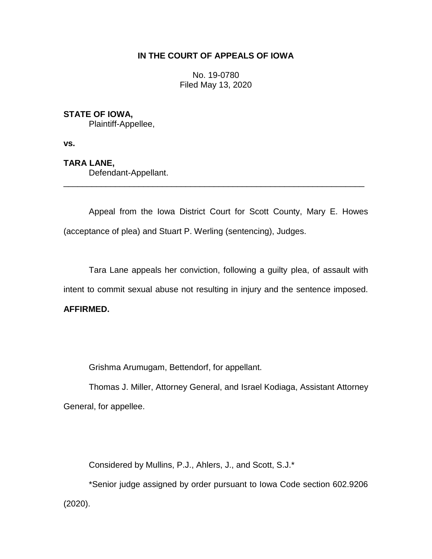### **IN THE COURT OF APPEALS OF IOWA**

No. 19-0780 Filed May 13, 2020

# **STATE OF IOWA,**

Plaintiff-Appellee,

**vs.**

# **TARA LANE,**

Defendant-Appellant.

Appeal from the Iowa District Court for Scott County, Mary E. Howes (acceptance of plea) and Stuart P. Werling (sentencing), Judges.

\_\_\_\_\_\_\_\_\_\_\_\_\_\_\_\_\_\_\_\_\_\_\_\_\_\_\_\_\_\_\_\_\_\_\_\_\_\_\_\_\_\_\_\_\_\_\_\_\_\_\_\_\_\_\_\_\_\_\_\_\_\_\_\_

Tara Lane appeals her conviction, following a guilty plea, of assault with intent to commit sexual abuse not resulting in injury and the sentence imposed. **AFFIRMED.**

Grishma Arumugam, Bettendorf, for appellant.

Thomas J. Miller, Attorney General, and Israel Kodiaga, Assistant Attorney General, for appellee.

Considered by Mullins, P.J., Ahlers, J., and Scott, S.J.\*

\*Senior judge assigned by order pursuant to Iowa Code section 602.9206 (2020).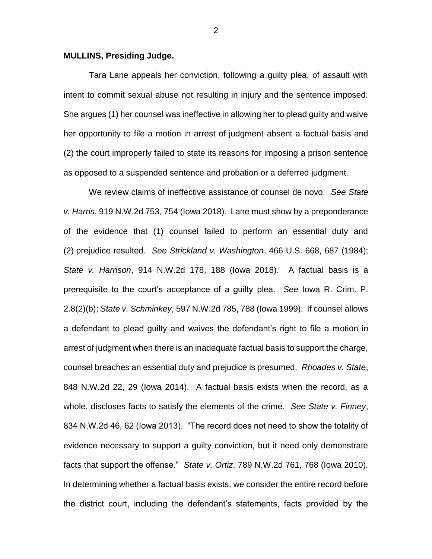#### **MULLINS, Presiding Judge.**

Tara Lane appeals her conviction, following a guilty plea, of assault with intent to commit sexual abuse not resulting in injury and the sentence imposed. She argues (1) her counsel was ineffective in allowing her to plead guilty and waive her opportunity to file a motion in arrest of judgment absent a factual basis and (2) the court improperly failed to state its reasons for imposing a prison sentence as opposed to a suspended sentence and probation or a deferred judgment.

We review claims of ineffective assistance of counsel de novo. *See State v. Harris*, 919 N.W.2d 753, 754 (Iowa 2018). Lane must show by a preponderance of the evidence that (1) counsel failed to perform an essential duty and (2) prejudice resulted. *See Strickland v. Washington*, 466 U.S. 668, 687 (1984); *State v. Harrison*, 914 N.W.2d 178, 188 (Iowa 2018). A factual basis is a prerequisite to the court's acceptance of a guilty plea. *See* Iowa R. Crim. P. 2.8(2)(b); *State v. Schminkey*, 597 N.W.2d 785, 788 (Iowa 1999).If counsel allows a defendant to plead guilty and waives the defendant's right to file a motion in arrest of judgment when there is an inadequate factual basis to support the charge, counsel breaches an essential duty and prejudice is presumed. *Rhoades v. State*, 848 N.W.2d 22, 29 (Iowa 2014). A factual basis exists when the record, as a whole, discloses facts to satisfy the elements of the crime. *See State v. Finney*, 834 N.W.2d 46, 62 (Iowa 2013). "The record does not need to show the totality of evidence necessary to support a guilty conviction, but it need only demonstrate facts that support the offense." *State v. Ortiz*, 789 N.W.2d 761, 768 (Iowa 2010). In determining whether a factual basis exists, we consider the entire record before the district court, including the defendant's statements, facts provided by the

2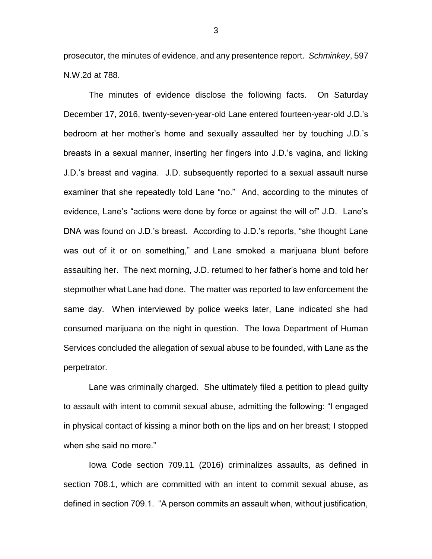prosecutor, the minutes of evidence, and any presentence report. *Schminkey*, 597 N.W.2d at 788.

The minutes of evidence disclose the following facts. On Saturday December 17, 2016, twenty-seven-year-old Lane entered fourteen-year-old J.D.'s bedroom at her mother's home and sexually assaulted her by touching J.D.'s breasts in a sexual manner, inserting her fingers into J.D.'s vagina, and licking J.D.'s breast and vagina. J.D. subsequently reported to a sexual assault nurse examiner that she repeatedly told Lane "no." And, according to the minutes of evidence, Lane's "actions were done by force or against the will of" J.D. Lane's DNA was found on J.D.'s breast. According to J.D.'s reports, "she thought Lane was out of it or on something," and Lane smoked a marijuana blunt before assaulting her. The next morning, J.D. returned to her father's home and told her stepmother what Lane had done. The matter was reported to law enforcement the same day. When interviewed by police weeks later, Lane indicated she had consumed marijuana on the night in question. The Iowa Department of Human Services concluded the allegation of sexual abuse to be founded, with Lane as the perpetrator.

Lane was criminally charged. She ultimately filed a petition to plead guilty to assault with intent to commit sexual abuse, admitting the following: "I engaged in physical contact of kissing a minor both on the lips and on her breast; I stopped when she said no more."

Iowa Code section 709.11 (2016) criminalizes assaults, as defined in section 708.1, which are committed with an intent to commit sexual abuse, as defined in section 709.1. "A person commits an assault when, without justification,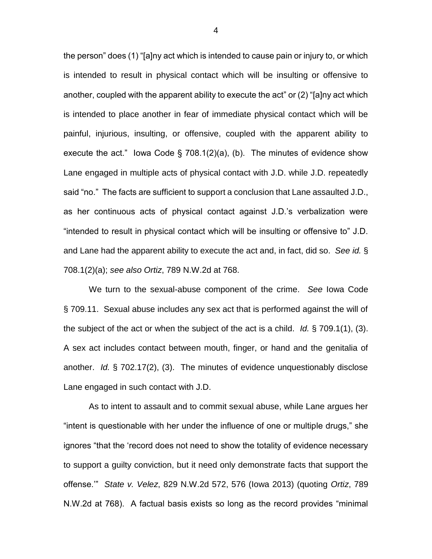the person" does (1) "[a]ny act which is intended to cause pain or injury to, or which is intended to result in physical contact which will be insulting or offensive to another, coupled with the apparent ability to execute the act" or (2) "[a]ny act which is intended to place another in fear of immediate physical contact which will be painful, injurious, insulting, or offensive, coupled with the apparent ability to execute the act." Iowa Code § 708.1(2)(a), (b). The minutes of evidence show Lane engaged in multiple acts of physical contact with J.D. while J.D. repeatedly said "no." The facts are sufficient to support a conclusion that Lane assaulted J.D., as her continuous acts of physical contact against J.D.'s verbalization were "intended to result in physical contact which will be insulting or offensive to" J.D. and Lane had the apparent ability to execute the act and, in fact, did so. *See id.* § 708.1(2)(a); *see also Ortiz*, 789 N.W.2d at 768.

We turn to the sexual-abuse component of the crime. *See* Iowa Code § 709.11. Sexual abuse includes any sex act that is performed against the will of the subject of the act or when the subject of the act is a child. *Id.* § 709.1(1), (3). A sex act includes contact between mouth, finger, or hand and the genitalia of another. *Id.* § 702.17(2), (3). The minutes of evidence unquestionably disclose Lane engaged in such contact with J.D.

As to intent to assault and to commit sexual abuse, while Lane argues her "intent is questionable with her under the influence of one or multiple drugs," she ignores "that the 'record does not need to show the totality of evidence necessary to support a guilty conviction, but it need only demonstrate facts that support the offense.'" *State v. Velez*, 829 N.W.2d 572, 576 (Iowa 2013) (quoting *Ortiz*, 789 N.W.2d at 768). A factual basis exists so long as the record provides "minimal

4